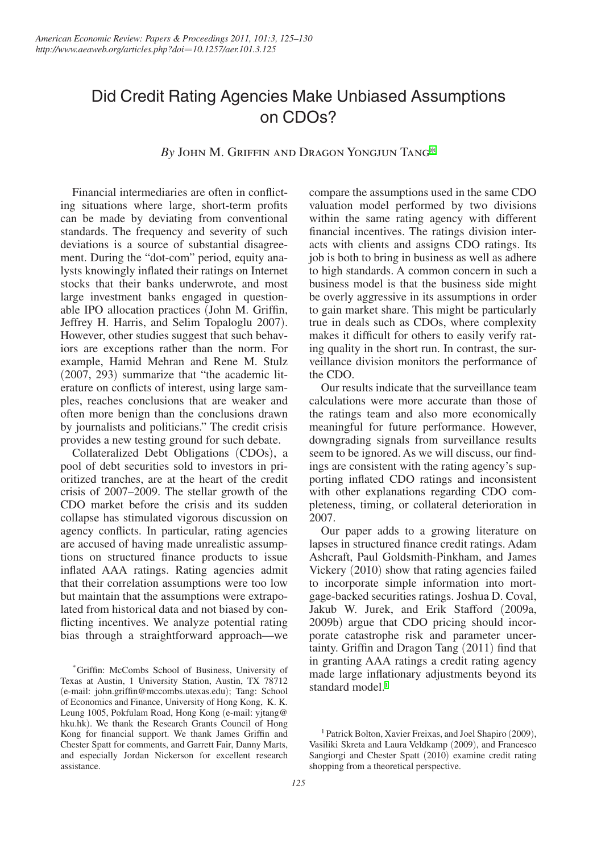# Did Credit Rating Agencies Make Unbiased Assumptions on CDOs?

*By* John M. Griffin and Dragon Yongjun Tang\*

Financial intermediaries are often in conflicting situations where large, short-term profits can be made by deviating from conventional standards. The frequency and severity of such deviations is a source of substantial disagreement. During the "dot-com" period, equity analysts knowingly inflated their ratings on Internet stocks that their banks underwrote, and most large investment banks engaged in questionable IPO allocation practices (John M. Griffin, Jeffrey H. Harris, and Selim Topaloglu 2007). However, other studies suggest that such behaviors are exceptions rather than the norm. For example, Hamid Mehran and Rene M. Stulz (2007, 293) summarize that "the academic literature on conflicts of interest, using large samples, reaches conclusions that are weaker and often more benign than the conclusions drawn by journalists and politicians." The credit crisis provides a new testing ground for such debate.

Collateralized Debt Obligations (CDOs), a pool of debt securities sold to investors in prioritized tranches, are at the heart of the credit crisis of 2007–2009. The stellar growth of the CDO market before the crisis and its sudden collapse has stimulated vigorous discussion on agency conflicts. In particular, rating agencies are accused of having made unrealistic assumptions on structured finance products to issue inflated AAA ratings. Rating agencies admit that their correlation assumptions were too low but maintain that the assumptions were extrapolated from historical data and not biased by conflicting incentives. We analyze potential rating bias through a straightforward approach—we

compare the assumptions used in the same CDO valuation model performed by two divisions within the same rating agency with different financial incentives. The ratings division interacts with clients and assigns CDO ratings. Its job is both to bring in business as well as adhere to high standards. A common concern in such a business model is that the business side might be overly aggressive in its assumptions in order to gain market share. This might be particularly true in deals such as CDOs, where complexity makes it difficult for others to easily verify rating quality in the short run. In contrast, the surveillance division monitors the performance of the CDO.

Our results indicate that the surveillance team calculations were more accurate than those of the ratings team and also more economically meaningful for future performance. However, downgrading signals from surveillance results seem to be ignored. As we will discuss, our findings are consistent with the rating agency's supporting inflated CDO ratings and inconsistent with other explanations regarding CDO completeness, timing, or collateral deterioration in 2007.

Our paper adds to a growing literature on lapses in structured finance credit ratings. Adam Ashcraft, Paul Goldsmith-Pinkham, and James Vickery (2010) show that rating agencies failed to incorporate simple information into mortgage-backed securities ratings. Joshua D. Coval, Jakub W. Jurek, and Erik Stafford (2009a, 2009b) argue that CDO pricing should incorporate catastrophe risk and parameter uncertainty. Griffin and Dragon Tang (2011) find that in granting AAA ratings a credit rating agency made large inflationary adjustments beyond its standard model.<sup>1</sup>

<sup>\*</sup>Griffin: McCombs School of Business, University of Texas at Austin, 1 University Station, Austin, TX 78712 (e-mail: john.griffin@mccombs.utexas.edu); Tang: School of Economics and Finance, University of Hong Kong, K. K. Leung 1005, Pokfulam Road, Hong Kong (e-mail: yjtang@ hku.hk). We thank the Research Grants Council of Hong Kong for financial support. We thank James Griffin and Chester Spatt for comments, and Garrett Fair, Danny Marts, and especially Jordan Nickerson for excellent research assistance.

<sup>1</sup> Patrick Bolton, Xavier Freixas, and Joel Shapiro (2009), Vasiliki Skreta and Laura Veldkamp (2009), and Francesco Sangiorgi and Chester Spatt (2010) examine credit rating shopping from a theoretical perspective.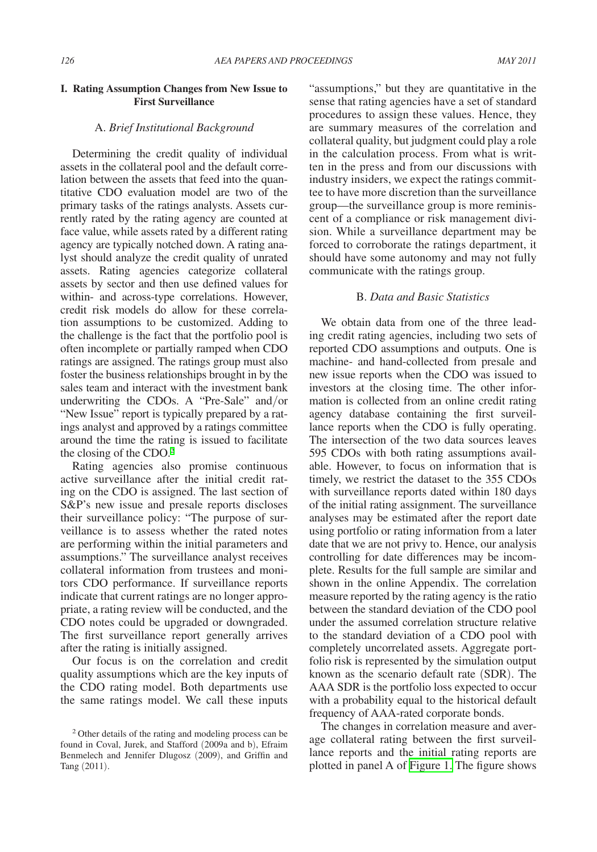## **I. Rating Assumption Changes from New Issue to First Surveillance**

#### A. *Brief Institutional Background*

Determining the credit quality of individual assets in the collateral pool and the default correlation between the assets that feed into the quantitative CDO evaluation model are two of the primary tasks of the ratings analysts. Assets currently rated by the rating agency are counted at face value, while assets rated by a different rating agency are typically notched down. A rating analyst should analyze the credit quality of unrated assets. Rating agencies categorize collateral assets by sector and then use defined values for within- and across-type correlations. However, credit risk models do allow for these correlation assumptions to be customized. Adding to the challenge is the fact that the portfolio pool is often incomplete or partially ramped when CDO ratings are assigned. The ratings group must also foster the business relationships brought in by the sales team and interact with the investment bank underwriting the CDOs. A "Pre-Sale" and/or "New Issue" report is typically prepared by a ratings analyst and approved by a ratings committee around the time the rating is issued to facilitate the closing of the CDO.2

Rating agencies also promise continuous active surveillance after the initial credit rating on the CDO is assigned. The last section of S&P's new issue and presale reports discloses their surveillance policy: "The purpose of surveillance is to assess whether the rated notes are performing within the initial parameters and assumptions." The surveillance analyst receives collateral information from trustees and monitors CDO performance. If surveillance reports indicate that current ratings are no longer appropriate, a rating review will be conducted, and the CDO notes could be upgraded or downgraded. The first surveillance report generally arrives after the rating is initially assigned.

Our focus is on the correlation and credit quality assumptions which are the key inputs of the CDO rating model. Both departments use the same ratings model. We call these inputs

"assumptions," but they are quantitative in the sense that rating agencies have a set of standard procedures to assign these values. Hence, they are summary measures of the correlation and collateral quality, but judgment could play a role in the calculation process. From what is written in the press and from our discussions with industry insiders, we expect the ratings committee to have more discretion than the surveillance group—the surveillance group is more reminiscent of a compliance or risk management division. While a surveillance department may be forced to corroborate the ratings department, it should have some autonomy and may not fully communicate with the ratings group.

### B. *Data and Basic Statistics*

We obtain data from one of the three leading credit rating agencies, including two sets of reported CDO assumptions and outputs. One is machine- and hand-collected from presale and new issue reports when the CDO was issued to investors at the closing time. The other information is collected from an online credit rating agency database containing the first surveillance reports when the CDO is fully operating. The intersection of the two data sources leaves 595 CDOs with both rating assumptions available. However, to focus on information that is timely, we restrict the dataset to the 355 CDOs with surveillance reports dated within 180 days of the initial rating assignment. The surveillance analyses may be estimated after the report date using portfolio or rating information from a later date that we are not privy to. Hence, our analysis controlling for date differences may be incomplete. Results for the full sample are similar and shown in the online Appendix. The correlation measure reported by the rating agency is the ratio between the standard deviation of the CDO pool under the assumed correlation structure relative to the standard deviation of a CDO pool with completely uncorrelated assets. Aggregate portfolio risk is represented by the simulation output known as the scenario default rate (SDR). The AAA SDR is the portfolio loss expected to occur with a probability equal to the historical default frequency of AAA-rated corporate bonds.

The changes in correlation measure and average collateral rating between the first surveillance reports and the initial rating reports are plotted in panel A of [Figure 1.](#page-2-0) The figure shows

<sup>2</sup> Other details of the rating and modeling process can be found in Coval, Jurek, and Stafford (2009a and b), Efraim Benmelech and Jennifer Dlugosz (2009), and Griffin and Tang (2011).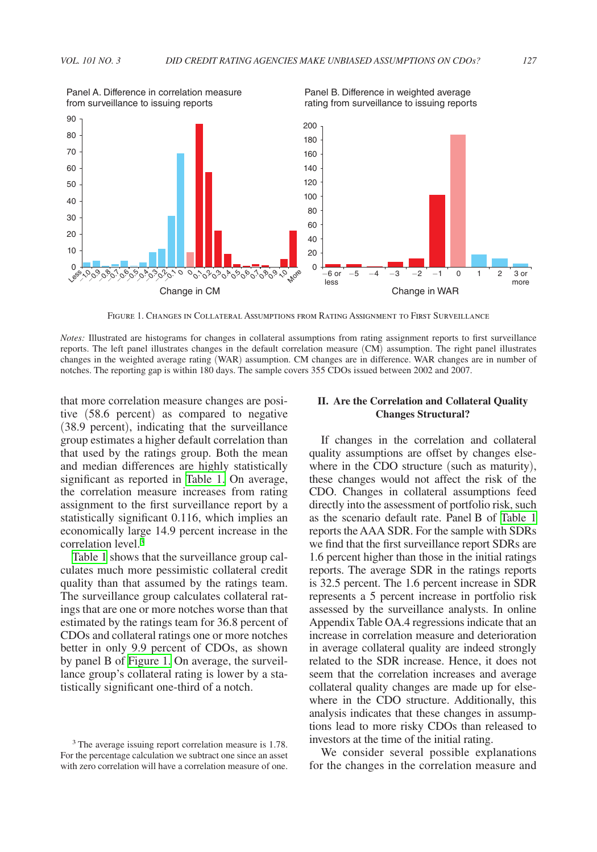<span id="page-2-0"></span>

FIGURE 1. CHANGES IN COLLATERAL ASSUMPTIONS FROM RATING ASSIGNMENT TO FIRST SURVEILLANCE

*Notes:* Illustrated are histograms for changes in collateral assumptions from rating assignment reports to first surveillance reports. The left panel illustrates changes in the default correlation measure (CM) assumption. The right panel illustrates changes in the weighted average rating (WAR) assumption. CM changes are in difference. WAR changes are in number of notches. The reporting gap is within 180 days. The sample covers 355 CDOs issued between 2002 and 2007.

that more correlation measure changes are positive (58.6 percent) as compared to negative (38.9 percent), indicating that the surveillance group estimates a higher default correlation than that used by the ratings group. Both the mean and median differences are highly statistically significant as reported in [Table 1.](#page-3-0) On average, the correlation measure increases from rating assignment to the first surveillance report by a statistically significant 0.116, which implies an economically large 14.9 percent increase in the correlation level<sup>3</sup>

[Table 1](#page-3-0) shows that the surveillance group calculates much more pessimistic collateral credit quality than that assumed by the ratings team. The surveillance group calculates collateral ratings that are one or more notches worse than that estimated by the ratings team for 36.8 percent of CDOs and collateral ratings one or more notches better in only 9.9 percent of CDOs, as shown by panel B of Figure 1. On average, the surveillance group's collateral rating is lower by a statistically significant one-third of a notch.

#### **II. Are the Correlation and Collateral Quality Changes Structural?**

If changes in the correlation and collateral quality assumptions are offset by changes elsewhere in the CDO structure (such as maturity), these changes would not affect the risk of the CDO. Changes in collateral assumptions feed directly into the assessment of portfolio risk, such as the scenario default rate. Panel B of [Table 1](#page-3-0)  reports the AAA SDR. For the sample with SDRs we find that the first surveillance report SDRs are 1.6 percent higher than those in the initial ratings reports. The average SDR in the ratings reports is 32.5 percent. The 1.6 percent increase in SDR represents a 5 percent increase in portfolio risk assessed by the surveillance analysts. In online Appendix Table OA.4 regressions indicate that an increase in correlation measure and deterioration in average collateral quality are indeed strongly related to the SDR increase. Hence, it does not seem that the correlation increases and average collateral quality changes are made up for elsewhere in the CDO structure. Additionally, this analysis indicates that these changes in assumptions lead to more risky CDOs than released to investors at the time of the initial rating.

We consider several possible explanations for the changes in the correlation measure and

<sup>3</sup> The average issuing report correlation measure is 1.78. For the percentage calculation we subtract one since an asset with zero correlation will have a correlation measure of one.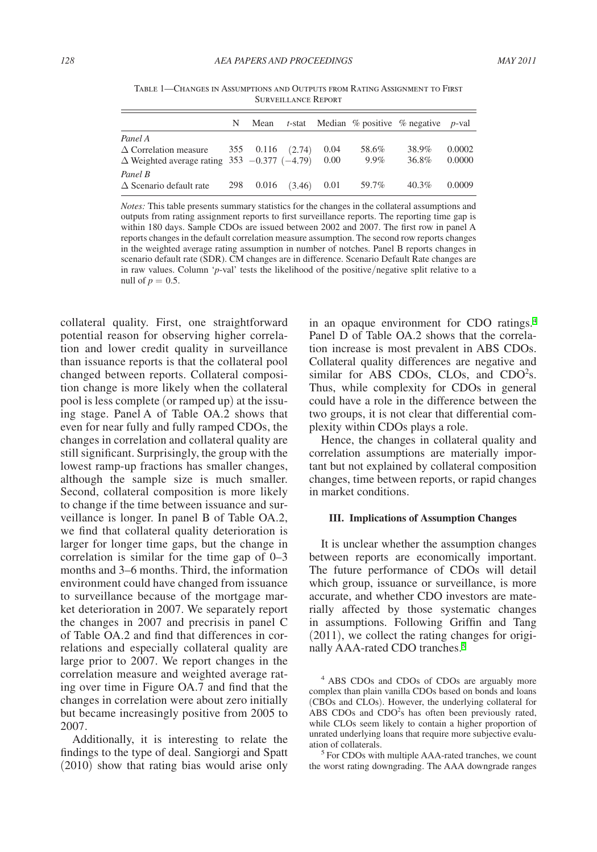<span id="page-3-0"></span>Table 1—Changes in Assumptions and Outputs from Rating Assignment to First SURVEILLANCE REPORT

|                                                     | N   | Mean             |        |      |         | <i>t</i> -stat Median $\%$ positive $\%$ negative | <i>p</i> -val |
|-----------------------------------------------------|-----|------------------|--------|------|---------|---------------------------------------------------|---------------|
| Panel A                                             |     |                  |        |      |         |                                                   |               |
| $\Delta$ Correlation measure                        |     | 355 0.116 (2.74) |        | 0.04 | 58.6%   | 38.9%                                             | 0.0002        |
| $\Delta$ Weighted average rating 353 -0.377 (-4.79) |     |                  |        | 0.00 | $9.9\%$ | 36.8%                                             | 0.0000        |
| Panel B                                             |     |                  |        |      |         |                                                   |               |
| $\Delta$ Scenario default rate                      | 298 | 0.016            | (3.46) | 0.01 | 59.7%   | $40.3\%$                                          | 0.0009        |

*Notes:* This table presents summary statistics for the changes in the collateral assumptions and outputs from rating assignment reports to first surveillance reports. The reporting time gap is within 180 days. Sample CDOs are issued between 2002 and 2007. The first row in panel A reports changes in the default correlation measure assumption. The second row reports changes in the weighted average rating assumption in number of notches. Panel B reports changes in scenario default rate (SDR). CM changes are in difference. Scenario Default Rate changes are in raw values. Column '*p*-val' tests the likelihood of the positive/negative split relative to a null of  $p = 0.5$ .

collateral quality. First, one straightforward potential reason for observing higher correlation and lower credit quality in surveillance than issuance reports is that the collateral pool changed between reports. Collateral composition change is more likely when the collateral pool is less complete (or ramped up) at the issuing stage. Panel A of Table OA.2 shows that even for near fully and fully ramped CDOs, the changes in correlation and collateral quality are still significant. Surprisingly, the group with the lowest ramp-up fractions has smaller changes, although the sample size is much smaller. Second, collateral composition is more likely to change if the time between issuance and surveillance is longer. In panel B of Table OA.2, we find that collateral quality deterioration is larger for longer time gaps, but the change in correlation is similar for the time gap of 0–3 months and 3–6 months. Third, the information environment could have changed from issuance to surveillance because of the mortgage market deterioration in 2007. We separately report the changes in 2007 and precrisis in panel C of Table OA.2 and find that differences in correlations and especially collateral quality are large prior to 2007. We report changes in the correlation measure and weighted average rating over time in Figure OA.7 and find that the changes in correlation were about zero initially but became increasingly positive from 2005 to 2007.

Additionally, it is interesting to relate the findings to the type of deal. Sangiorgi and Spatt (2010) show that rating bias would arise only

in an opaque environment for CDO ratings.4 Panel D of Table OA.2 shows that the correlation increase is most prevalent in ABS CDOs. Collateral quality differences are negative and similar for ABS CDOs, CLOs, and CDO<sup>2</sup>s. Thus, while complexity for CDOs in general could have a role in the difference between the two groups, it is not clear that differential complexity within CDOs plays a role.

Hence, the changes in collateral quality and correlation assumptions are materially important but not explained by collateral composition changes, time between reports, or rapid changes in market conditions.

#### **III. Implications of Assumption Changes**

It is unclear whether the assumption changes between reports are economically important. The future performance of CDOs will detail which group, issuance or surveillance, is more accurate, and whether CDO investors are materially affected by those systematic changes in assumptions. Following Griffin and Tang (2011), we collect the rating changes for originally AAA-rated CDO tranches.5

4 ABS CDOs and CDOs of CDOs are arguably more complex than plain vanilla CDOs based on bonds and loans (CBOs and CLOs). However, the underlying collateral for ABS CDOs and CDO<sup>2</sup>s has often been previously rated, while CLOs seem likely to contain a higher proportion of unrated underlying loans that require more subjective evaluation of collaterals. 5 For CDOs with multiple AAA-rated tranches, we count

the worst rating downgrading. The AAA downgrade ranges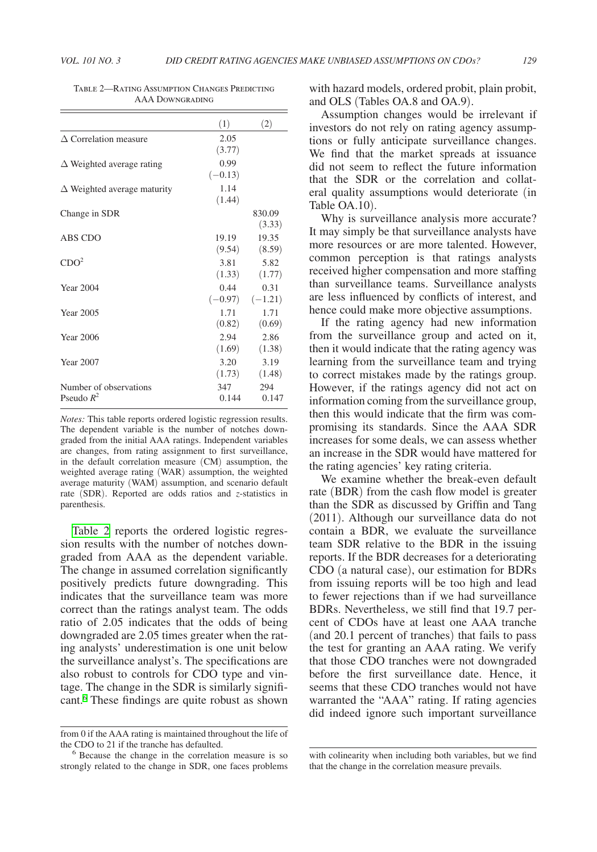|                                        | (1)                         | (2)                       |
|----------------------------------------|-----------------------------|---------------------------|
| $\Delta$ Correlation measure           | 2.05<br>(3.77)              |                           |
| $\Delta$ Weighted average rating       | 0.99<br>$(-0.13)$           |                           |
| $\Delta$ Weighted average maturity     | 1.14<br>(1.44)              |                           |
| Change in SDR                          |                             | 830.09<br>(3.33)          |
| ABS CDO                                | 19.19<br>(9.54)             | 19.35<br>(8.59)           |
| CDO <sup>2</sup>                       | 3.81<br>(1.33)              | 5.82<br>(1.77)            |
| <b>Year 2004</b>                       | 0.44<br>$(-0.97)$ $(-1.21)$ | 0.31                      |
| <b>Year 2005</b>                       | 1.71<br>(0.82)              | 1.71<br>(0.69)            |
| <b>Year 2006</b>                       | 2.94<br>(1.69)              | 2.86<br>(1.38)            |
| <b>Year 2007</b>                       | 3.20                        | 3.19<br>$(1.73)$ $(1.48)$ |
| Number of observations<br>Pseudo $R^2$ | 347<br>0.144                | 294<br>0.147              |

Table 2—Rating Assumption Changes Predicting AAA Downgrading

*Notes:* This table reports ordered logistic regression results. The dependent variable is the number of notches downgraded from the initial AAA ratings. Independent variables are changes, from rating assignment to first surveillance, in the default correlation measure (CM) assumption, the weighted average rating (WAR) assumption, the weighted average maturity (WAM) assumption, and scenario default rate (SDR). Reported are odds ratios and *z*-statistics in parenthesis.

Table 2 reports the ordered logistic regression results with the number of notches downgraded from AAA as the dependent variable. The change in assumed correlation significantly positively predicts future downgrading. This indicates that the surveillance team was more correct than the ratings analyst team. The odds ratio of 2.05 indicates that the odds of being downgraded are 2.05 times greater when the rating analysts' underestimation is one unit below the surveillance analyst's. The specifications are also robust to controls for CDO type and vintage. The change in the SDR is similarly significant.6 These findings are quite robust as shown with hazard models, ordered probit, plain probit, and OLS (Tables OA.8 and OA.9).

Assumption changes would be irrelevant if investors do not rely on rating agency assumptions or fully anticipate surveillance changes. We find that the market spreads at issuance did not seem to reflect the future information that the SDR or the correlation and collateral quality assumptions would deteriorate (in Table OA.10).

Why is surveillance analysis more accurate? It may simply be that surveillance analysts have more resources or are more talented. However, common perception is that ratings analysts received higher compensation and more staffing than surveillance teams. Surveillance analysts are less influenced by conflicts of interest, and hence could make more objective assumptions.

If the rating agency had new information from the surveillance group and acted on it, then it would indicate that the rating agency was learning from the surveillance team and trying to correct mistakes made by the ratings group. However, if the ratings agency did not act on information coming from the surveillance group, then this would indicate that the firm was compromising its standards. Since the AAA SDR increases for some deals, we can assess whether an increase in the SDR would have mattered for the rating agencies' key rating criteria.

We examine whether the break-even default rate (BDR) from the cash flow model is greater than the SDR as discussed by Griffin and Tang (2011). Although our surveillance data do not contain a BDR, we evaluate the surveillance team SDR relative to the BDR in the issuing reports. If the BDR decreases for a deteriorating CDO (a natural case), our estimation for BDRs from issuing reports will be too high and lead to fewer rejections than if we had surveillance BDRs. Nevertheless, we still find that 19.7 percent of CDOs have at least one AAA tranche (and 20.1 percent of tranches) that fails to pass the test for granting an AAA rating. We verify that those CDO tranches were not downgraded before the first surveillance date. Hence, it seems that these CDO tranches would not have warranted the "AAA" rating. If rating agencies did indeed ignore such important surveillance

from 0 if the AAA rating is maintained throughout the life of the CDO to 21 if the tranche has defaulted.<br><sup>6</sup> Because the change in the correlation measure is so

strongly related to the change in SDR, one faces problems

with colinearity when including both variables, but we find that the change in the correlation measure prevails.